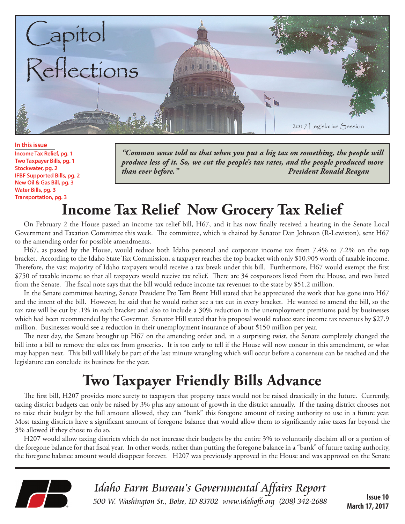

**In this issue Income Tax Relief, pg. 1 Two Taxpayer Bills, pg. 1 Stockwater, pg. 2 IFBF Supported Bills, pg. 2 New Oil & Gas Bill, pg. 3 Water Bills, pg. 3 Transportation, pg. 3**

*"Common sense told us that when you put a big tax on something, the people will produce less of it. So, we cut the people's tax rates, and the people produced more than ever before." President Ronald Reagan*

#### **Income Tax Relief Now Grocery Tax Relief**

On February 2 the House passed an income tax relief bill, H67, and it has now finally received a hearing in the Senate Local Government and Taxation Committee this week. The committee, which is chaired by Senator Dan Johnson (R-Lewiston), sent H67 to the amending order for possible amendments.

H67, as passed by the House, would reduce both Idaho personal and corporate income tax from 7.4% to 7.2% on the top bracket. According to the Idaho State Tax Commission, a taxpayer reaches the top bracket with only \$10,905 worth of taxable income. Therefore, the vast majority of Idaho taxpayers would receive a tax break under this bill. Furthermore, H67 would exempt the first \$750 of taxable income so that all taxpayers would receive tax relief. There are 34 cosponsors listed from the House, and two listed from the Senate. The fiscal note says that the bill would reduce income tax revenues to the state by \$51.2 million.

In the Senate committee hearing, Senate President Pro Tem Brent Hill stated that he appreciated the work that has gone into H67 and the intent of the bill. However, he said that he would rather see a tax cut in every bracket. He wanted to amend the bill, so the tax rate will be cut by .1% in each bracket and also to include a 30% reduction in the unemployment premiums paid by businesses which had been recommended by the Governor. Senator Hill stated that his proposal would reduce state income tax revenues by \$27.9 million. Businesses would see a reduction in their unemployment insurance of about \$150 million per year.

The next day, the Senate brought up H67 on the amending order and, in a surprising twist, the Senate completely changed the bill into a bill to remove the sales tax from groceries. It is too early to tell if the House will now concur in this amendment, or what may happen next. This bill will likely be part of the last minute wrangling which will occur before a consensus can be reached and the legislature can conclude its business for the year.

# **Two Taxpayer Friendly Bills Advance**

The first bill, H207 provides more surety to taxpayers that property taxes would not be raised drastically in the future. Currently, taxing district budgets can only be raised by 3% plus any amount of growth in the district annually. If the taxing district chooses not to raise their budget by the full amount allowed, they can "bank" this foregone amount of taxing authority to use in a future year. Most taxing districts have a significant amount of foregone balance that would allow them to significantly raise taxes far beyond the 3% allowed if they chose to do so.

H207 would allow taxing districts which do not increase their budgets by the entire 3% to voluntarily disclaim all or a portion of the foregone balance for that fiscal year. In other words, rather than putting the foregone balance in a "bank" of future taxing authority, the foregone balance amount would disappear forever. H207 was previously approved in the House and was approved on the Senate



Idaho Farm Bureau's Governmental Affairs Report 500 W. Washington St., Boise, ID 83702 [www.idahofb.org \(2](http://www.idahofb.org)08) 342-2688

**Issue 10 March 17, 2017**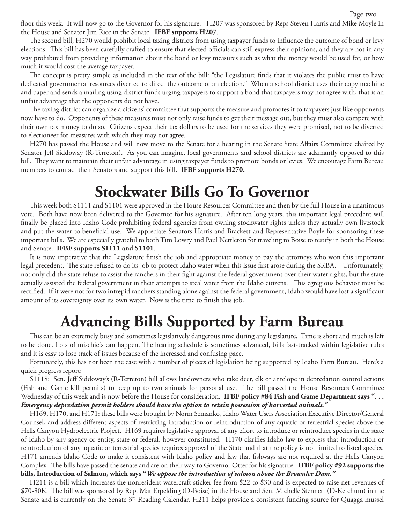floor this week. It will now go to the Governor for his signature. H207 was sponsored by Reps Steven Harris and Mike Moyle in the House and Senator Jim Rice in the Senate. **IFBF supports H207**.

The second bill, H270 would prohibit local taxing districts from using taxpayer funds to influence the outcome of bond or levy elections. This bill has been carefully crafted to ensure that elected officials can still express their opinions, and they are not in any way prohibited from providing information about the bond or levy measures such as what the money would be used for, or how much it would cost the average taxpayer.

The concept is pretty simple as included in the text of the bill: "the Legislature finds that it violates the public trust to have dedicated governmental resources diverted to direct the outcome of an election." When a school district uses their copy machine and paper and sends a mailing using district funds urging taxpayers to support a bond that taxpayers may not agree with, that is an unfair advantage that the opponents do not have.

The taxing district can organize a citizens' committee that supports the measure and promotes it to taxpayers just like opponents now have to do. Opponents of these measures must not only raise funds to get their message out, but they must also compete with their own tax money to do so. Citizens expect their tax dollars to be used for the services they were promised, not to be diverted to electioneer for measures with which they may not agree.

H270 has passed the House and will now move to the Senate for a hearing in the Senate State Affairs Committee chaired by Senator Jeff Siddoway (R-Terreton). As you can imagine, local governments and school districts are adamantly opposed to this bill. They want to maintain their unfair advantage in using taxpayer funds to promote bonds or levies. We encourage Farm Bureau members to contact their Senators and support this bill. **IFBF supports H270.**

### **Stockwater Bills Go To Governor**

This week both S1111 and S1101 were approved in the House Resources Committee and then by the full House in a unanimous vote. Both have now been delivered to the Governor for his signature. After ten long years, this important legal precedent will finally be placed into Idaho Code prohibiting federal agencies from owning stockwater rights unless they actually own livestock and put the water to beneficial use. We appreciate Senators Harris and Brackett and Representative Boyle for sponsoring these important bills. We are especially grateful to both Tim Lowry and Paul Nettleton for traveling to Boise to testify in both the House and Senate. **IFBF supports S1111 and S1101**.

It is now imperative that the Legislature finish the job and appropriate money to pay the attorneys who won this important legal precedent. The state refused to do its job to protect Idaho water when this issue first arose during the SRBA. Unfortunately, not only did the state refuse to assist the ranchers in their fight against the federal government over their water rights, but the state actually assisted the federal government in their attempts to steal water from the Idaho citizens. This egregious behavior must be rectified. If it were not for two intrepid ranchers standing alone against the federal government, Idaho would have lost a significant amount of its sovereignty over its own water. Now is the time to finish this job.

#### **Advancing Bills Supported by Farm Bureau**

This can be an extremely busy and sometimes legislatively dangerous time during any legislature. Time is short and much is left to be done. Lots of mischiefs can happen. The hearing schedule is sometimes advanced, bills fast-tracked within legislative rules and it is easy to lose track of issues because of the increased and confusing pace.

Fortunately, this has not been the case with a number of pieces of legislation being supported by Idaho Farm Bureau. Here's a quick progress report:

S1118: Sen. Jeff Siddoway's (R-Terreton) bill allows landowners who take deer, elk or antelope in depredation control actions (Fish and Game kill permits) to keep up to two animals for personal use. The bill passed the House Resources Committee Wednesday of this week and is now before the House for consideration. **IFBF policy #84 Fish and Game Department says ". . .**  *Emergency depredation permit holders should have the option to retain possession of harvested animals."*

H169, H170, and H171: these bills were brought by Norm Semanko, Idaho Water Users Association Executive Director/General Counsel, and address different aspects of restricting introduction or reintroduction of any aquatic or terrestrial species above the Hells Canyon Hydroelectric Project. H169 requires legislative approval of any effort to introduce or reintroduce species in the state of Idaho by any agency or entity, state or federal, however constituted. H170 clarifies Idaho law to express that introduction or reintroduction of any aquatic or terrestrial species requires approval of the State and that the policy is not limited to listed species. H171 amends Idaho Code to make it consistent with Idaho policy and law that fishways are not required at the Hells Canyon Complex. The bills have passed the senate and are on their way to Governor Otter for his signature. **IFBF policy #92 supports the bills, Introduction of Salmon, which says "***We oppose the introduction of salmon above the Brownlee Dam."*

H211 is a bill which increases the nonresident watercraft sticker fee from \$22 to \$30 and is expected to raise net revenues of \$70-80K. The bill was sponsored by Rep. Mat Erpelding (D-Boise) in the House and Sen. Michelle Stennett (D-Ketchum) in the Senate and is currently on the Senate  $3<sup>rd</sup>$  Reading Calendar. H211 helps provide a consistent funding source for Quagga mussel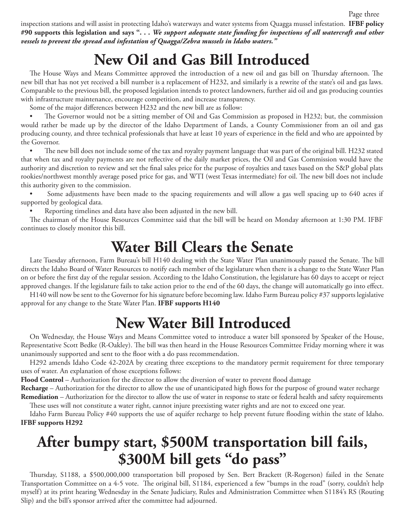inspection stations and will assist in protecting Idaho's waterways and water systems from Quagga mussel infestation. **IFBF policy #90 supports this legislation and says ". . .** *We support adequate state funding for inspections of all watercraft and other vessels to prevent the spread and infestation of Quagga/Zebra mussels in Idaho waters."*

# **New Oil and Gas Bill Introduced**

The House Ways and Means Committee approved the introduction of a new oil and gas bill on Thursday afternoon. The new bill that has not yet received a bill number is a replacement of H232, and similarly is a rewrite of the state's oil and gas laws. Comparable to the previous bill, the proposed legislation intends to protect landowners, further aid oil and gas producing counties with infrastructure maintenance, encourage competition, and increase transparency.

Some of the major differences between H232 and the new bill are as follow:

• The Governor would not be a sitting member of Oil and Gas Commission as proposed in H232; but, the commission would rather be made up by the director of the Idaho Department of Lands, a County Commissioner from an oil and gas producing county, and three technical professionals that have at least 10 years of experience in the field and who are appointed by the Governor.

• The new bill does not include some of the tax and royalty payment language that was part of the original bill. H232 stated that when tax and royalty payments are not reflective of the daily market prices, the Oil and Gas Commission would have the authority and discretion to review and set the final sales price for the purpose of royalties and taxes based on the S&P global plats rookies/northwest monthly average posed price for gas, and WTI (west Texas intermediate) for oil. The new bill does not include this authority given to the commission.

• Some adjustments have been made to the spacing requirements and will allow a gas well spacing up to 640 acres if supported by geological data.

• Reporting timelines and data have also been adjusted in the new bill.

The chairman of the House Resources Committee said that the bill will be heard on Monday afternoon at 1:30 PM. IFBF continues to closely monitor this bill.

### **Water Bill Clears the Senate**

Late Tuesday afternoon, Farm Bureau's bill H140 dealing with the State Water Plan unanimously passed the Senate. The bill directs the Idaho Board of Water Resources to notify each member of the legislature when there is a change to the State Water Plan on or before the first day of the regular session. According to the Idaho Constitution, the legislature has 60 days to accept or reject approved changes. If the legislature fails to take action prior to the end of the 60 days, the change will automatically go into effect.

H140 will now be sent to the Governor for his signature before becoming law. Idaho Farm Bureau policy #37 supports legislative approval for any change to the State Water Plan. **IFBF supports H140**

# **New Water Bill Introduced**

On Wednesday, the House Ways and Means Committee voted to introduce a water bill sponsored by Speaker of the House, Representative Scott Bedke (R-Oakley). The bill was then heard in the House Resources Committee Friday morning where it was unanimously supported and sent to the floor with a do pass recommendation.

H292 amends Idaho Code 42-202A by creating three exceptions to the mandatory permit requirement for three temporary uses of water. An explanation of those exceptions follows:

**Flood Control** – Authorization for the director to allow the diversion of water to prevent flood damage

**Recharge** – Authorization for the director to allow the use of unanticipated high flows for the purpose of ground water recharge **Remediation** – Authorization for the director to allow the use of water in response to state or federal health and safety requirements

These uses will not constitute a water right, cannot injure preexisting water rights and are not to exceed one year.

Idaho Farm Bureau Policy #40 supports the use of aquifer recharge to help prevent future flooding within the state of Idaho. **IFBF supports H292**

## **After bumpy start, \$500M transportation bill fails, \$300M bill gets "do pass"**

Thursday, S1188, a \$500,000,000 transportation bill proposed by Sen. Bert Brackett (R-Rogerson) failed in the Senate Transportation Committee on a 4-5 vote. The original bill, S1184, experienced a few "bumps in the road" (sorry, couldn't help myself) at its print hearing Wednesday in the Senate Judiciary, Rules and Administration Committee when S1184's RS (Routing Slip) and the bill's sponsor arrived after the committee had adjourned.